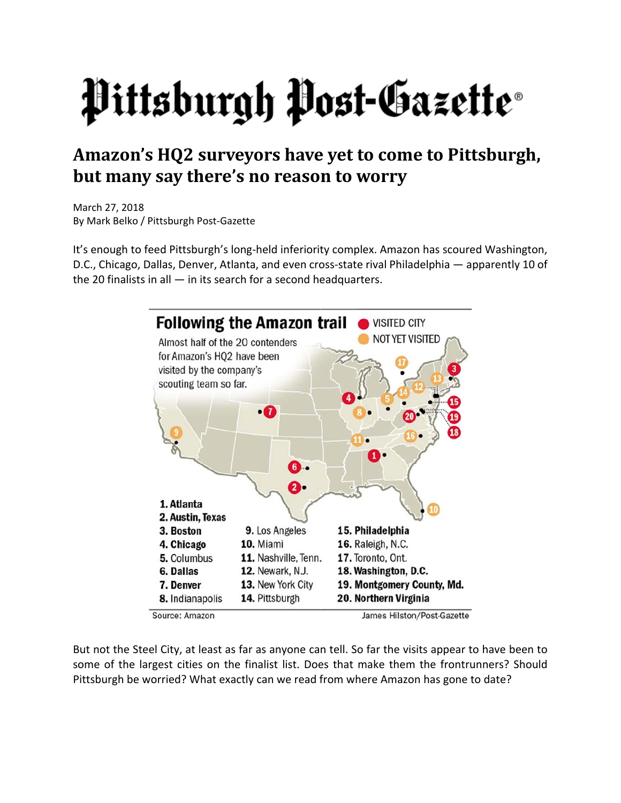## Pittsburgh Post-Gazette®

## **Amazon's HQ2 surveyors have yet to come to Pittsburgh, but many say there's no reason to worry**

March 27, 2018 By Mark Belko / Pittsburgh Post‐Gazette

It's enough to feed Pittsburgh's long-held inferiority complex. Amazon has scoured Washington, D.C., Chicago, Dallas, Denver, Atlanta, and even cross‐state rival Philadelphia — apparently 10 of the 20 finalists in all  $-$  in its search for a second headquarters.



Source: Amazon

But not the Steel City, at least as far as anyone can tell. So far the visits appear to have been to some of the largest cities on the finalist list. Does that make them the frontrunners? Should Pittsburgh be worried? What exactly can we read from where Amazon has gone to date?

James Hilston/Post-Gazette